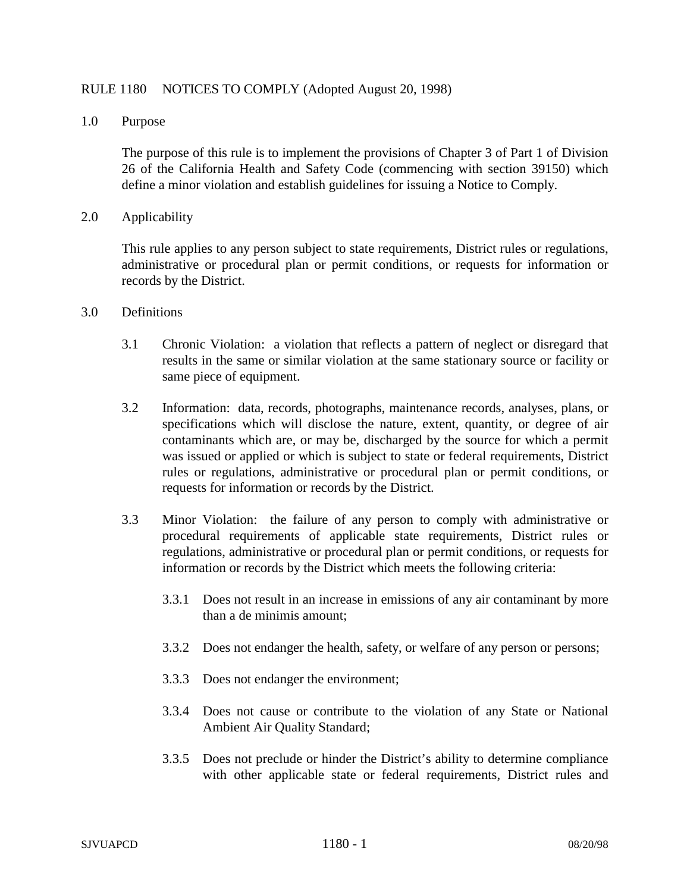## RULE 1180 NOTICES TO COMPLY (Adopted August 20, 1998)

1.0 Purpose

The purpose of this rule is to implement the provisions of Chapter 3 of Part 1 of Division 26 of the California Health and Safety Code (commencing with section 39150) which define a minor violation and establish guidelines for issuing a Notice to Comply.

2.0 Applicability

This rule applies to any person subject to state requirements, District rules or regulations, administrative or procedural plan or permit conditions, or requests for information or records by the District.

- 3.0 Definitions
	- 3.1 Chronic Violation: a violation that reflects a pattern of neglect or disregard that results in the same or similar violation at the same stationary source or facility or same piece of equipment.
	- 3.2 Information: data, records, photographs, maintenance records, analyses, plans, or specifications which will disclose the nature, extent, quantity, or degree of air contaminants which are, or may be, discharged by the source for which a permit was issued or applied or which is subject to state or federal requirements, District rules or regulations, administrative or procedural plan or permit conditions, or requests for information or records by the District.
	- 3.3 Minor Violation: the failure of any person to comply with administrative or procedural requirements of applicable state requirements, District rules or regulations, administrative or procedural plan or permit conditions, or requests for information or records by the District which meets the following criteria:
		- 3.3.1 Does not result in an increase in emissions of any air contaminant by more than a de minimis amount;
		- 3.3.2 Does not endanger the health, safety, or welfare of any person or persons;
		- 3.3.3 Does not endanger the environment;
		- 3.3.4 Does not cause or contribute to the violation of any State or National Ambient Air Quality Standard;
		- 3.3.5 Does not preclude or hinder the District's ability to determine compliance with other applicable state or federal requirements, District rules and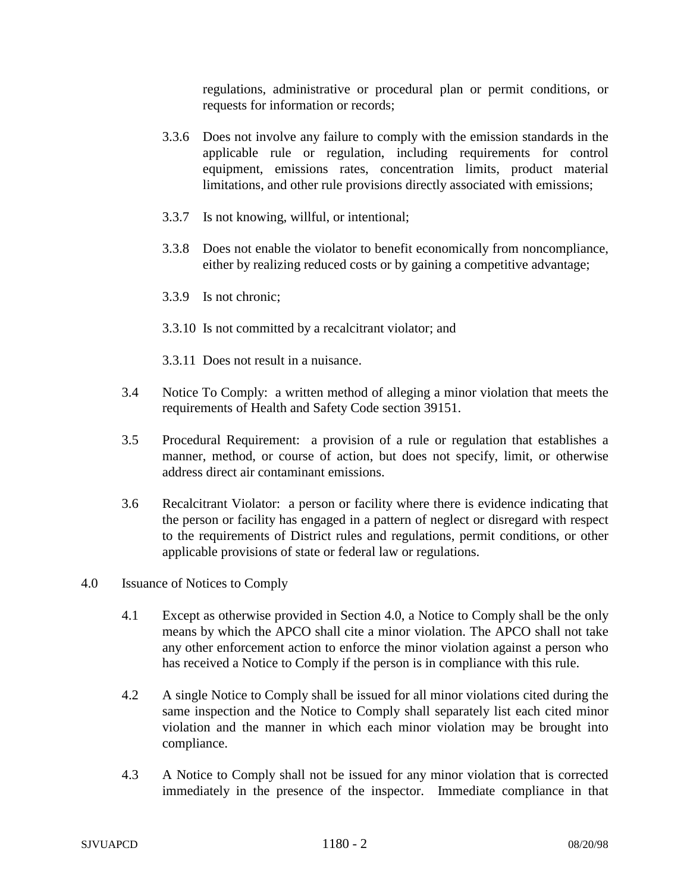regulations, administrative or procedural plan or permit conditions, or requests for information or records;

- 3.3.6 Does not involve any failure to comply with the emission standards in the applicable rule or regulation, including requirements for control equipment, emissions rates, concentration limits, product material limitations, and other rule provisions directly associated with emissions;
- 3.3.7 Is not knowing, willful, or intentional;
- 3.3.8 Does not enable the violator to benefit economically from noncompliance, either by realizing reduced costs or by gaining a competitive advantage;
- 3.3.9 Is not chronic;
- 3.3.10 Is not committed by a recalcitrant violator; and
- 3.3.11 Does not result in a nuisance.
- 3.4 Notice To Comply: a written method of alleging a minor violation that meets the requirements of Health and Safety Code section 39151.
- 3.5 Procedural Requirement: a provision of a rule or regulation that establishes a manner, method, or course of action, but does not specify, limit, or otherwise address direct air contaminant emissions.
- 3.6 Recalcitrant Violator: a person or facility where there is evidence indicating that the person or facility has engaged in a pattern of neglect or disregard with respect to the requirements of District rules and regulations, permit conditions, or other applicable provisions of state or federal law or regulations.
- 4.0 Issuance of Notices to Comply
	- 4.1 Except as otherwise provided in Section 4.0, a Notice to Comply shall be the only means by which the APCO shall cite a minor violation. The APCO shall not take any other enforcement action to enforce the minor violation against a person who has received a Notice to Comply if the person is in compliance with this rule.
	- 4.2 A single Notice to Comply shall be issued for all minor violations cited during the same inspection and the Notice to Comply shall separately list each cited minor violation and the manner in which each minor violation may be brought into compliance.
	- 4.3 A Notice to Comply shall not be issued for any minor violation that is corrected immediately in the presence of the inspector. Immediate compliance in that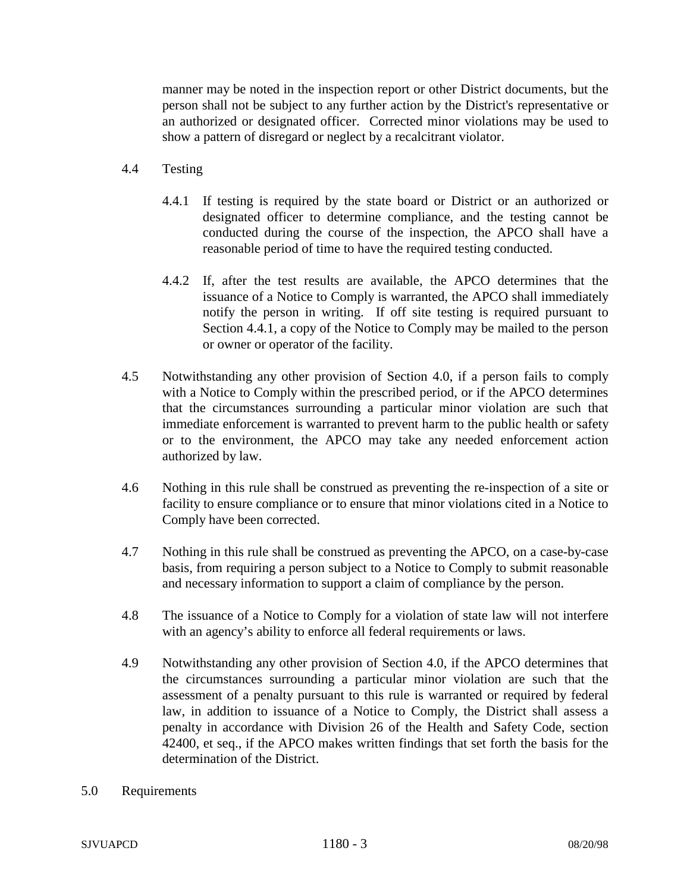manner may be noted in the inspection report or other District documents, but the person shall not be subject to any further action by the District's representative or an authorized or designated officer. Corrected minor violations may be used to show a pattern of disregard or neglect by a recalcitrant violator.

- 4.4 Testing
	- 4.4.1 If testing is required by the state board or District or an authorized or designated officer to determine compliance, and the testing cannot be conducted during the course of the inspection, the APCO shall have a reasonable period of time to have the required testing conducted.
	- 4.4.2 If, after the test results are available, the APCO determines that the issuance of a Notice to Comply is warranted, the APCO shall immediately notify the person in writing. If off site testing is required pursuant to Section 4.4.1, a copy of the Notice to Comply may be mailed to the person or owner or operator of the facility.
- 4.5 Notwithstanding any other provision of Section 4.0, if a person fails to comply with a Notice to Comply within the prescribed period, or if the APCO determines that the circumstances surrounding a particular minor violation are such that immediate enforcement is warranted to prevent harm to the public health or safety or to the environment, the APCO may take any needed enforcement action authorized by law.
- 4.6 Nothing in this rule shall be construed as preventing the re-inspection of a site or facility to ensure compliance or to ensure that minor violations cited in a Notice to Comply have been corrected.
- 4.7 Nothing in this rule shall be construed as preventing the APCO, on a case-by-case basis, from requiring a person subject to a Notice to Comply to submit reasonable and necessary information to support a claim of compliance by the person.
- 4.8 The issuance of a Notice to Comply for a violation of state law will not interfere with an agency's ability to enforce all federal requirements or laws.
- 4.9 Notwithstanding any other provision of Section 4.0, if the APCO determines that the circumstances surrounding a particular minor violation are such that the assessment of a penalty pursuant to this rule is warranted or required by federal law, in addition to issuance of a Notice to Comply, the District shall assess a penalty in accordance with Division 26 of the Health and Safety Code, section 42400, et seq., if the APCO makes written findings that set forth the basis for the determination of the District.
- 5.0 Requirements